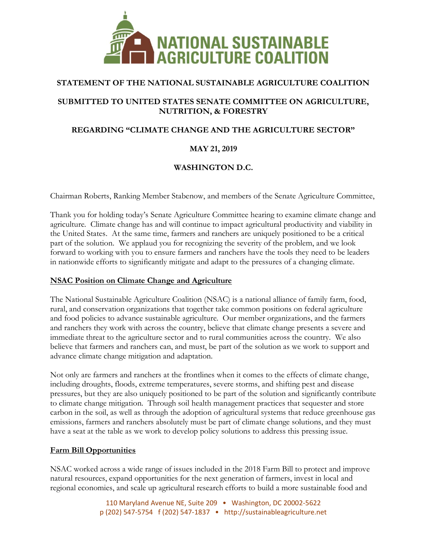

# **STATEMENT OF THE NATIONAL SUSTAINABLE AGRICULTURE COALITION**

### **SUBMITTED TO UNITED STATES SENATE COMMITTEE ON AGRICULTURE, NUTRITION, & FORESTRY**

# **REGARDING "CLIMATE CHANGE AND THE AGRICULTURE SECTOR"**

# **MAY 21, 2019**

# **WASHINGTON D.C.**

Chairman Roberts, Ranking Member Stabenow, and members of the Senate Agriculture Committee,

Thank you for holding today's Senate Agriculture Committee hearing to examine climate change and agriculture. Climate change has and will continue to impact agricultural productivity and viability in the United States. At the same time, farmers and ranchers are uniquely positioned to be a critical part of the solution. We applaud you for recognizing the severity of the problem, and we look forward to working with you to ensure farmers and ranchers have the tools they need to be leaders in nationwide efforts to significantly mitigate and adapt to the pressures of a changing climate.

#### **NSAC Position on Climate Change and Agriculture**

The National Sustainable Agriculture Coalition (NSAC) is a national alliance of family farm, food, rural, and conservation organizations that together take common positions on federal agriculture and food policies to advance sustainable agriculture. Our member organizations, and the farmers and ranchers they work with across the country, believe that climate change presents a severe and immediate threat to the agriculture sector and to rural communities across the country. We also believe that farmers and ranchers can, and must, be part of the solution as we work to support and advance climate change mitigation and adaptation.

Not only are farmers and ranchers at the frontlines when it comes to the effects of climate change, including droughts, floods, extreme temperatures, severe storms, and shifting pest and disease pressures, but they are also uniquely positioned to be part of the solution and significantly contribute to climate change mitigation. Through soil health management practices that sequester and store carbon in the soil, as well as through the adoption of agricultural systems that reduce greenhouse gas emissions, farmers and ranchers absolutely must be part of climate change solutions, and they must have a seat at the table as we work to develop policy solutions to address this pressing issue.

### **Farm Bill Opportunities**

NSAC worked across a wide range of issues included in the 2018 Farm Bill to protect and improve natural resources, expand opportunities for the next generation of farmers, invest in local and regional economies, and scale up agricultural research efforts to build a more sustainable food and

> 110 Maryland Avenue NE, Suite 209 • Washington, DC 20002-5622 p (202) 547-5754 f (202) 547-1837 • http://sustainableagriculture.net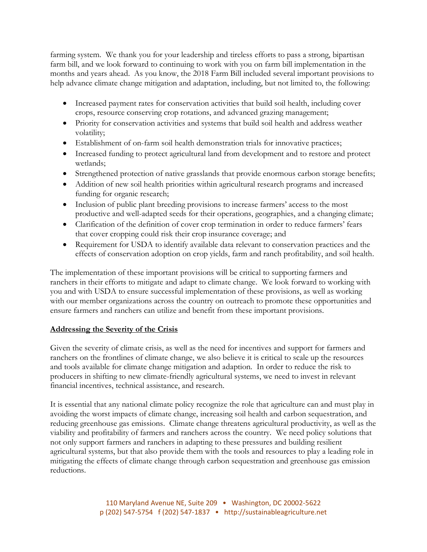farming system. We thank you for your leadership and tireless efforts to pass a strong, bipartisan farm bill, and we look forward to continuing to work with you on farm bill implementation in the months and years ahead. As you know, the 2018 Farm Bill included several important provisions to help advance climate change mitigation and adaptation, including, but not limited to, the following:

- Increased payment rates for conservation activities that build soil health, including cover crops, resource conserving crop rotations, and advanced grazing management;
- Priority for conservation activities and systems that build soil health and address weather volatility;
- Establishment of on-farm soil health demonstration trials for innovative practices;
- Increased funding to protect agricultural land from development and to restore and protect wetlands;
- Strengthened protection of native grasslands that provide enormous carbon storage benefits;
- Addition of new soil health priorities within agricultural research programs and increased funding for organic research;
- Inclusion of public plant breeding provisions to increase farmers' access to the most productive and well-adapted seeds for their operations, geographies, and a changing climate;
- Clarification of the definition of cover crop termination in order to reduce farmers' fears that cover cropping could risk their crop insurance coverage; and
- Requirement for USDA to identify available data relevant to conservation practices and the effects of conservation adoption on crop yields, farm and ranch profitability, and soil health.

The implementation of these important provisions will be critical to supporting farmers and ranchers in their efforts to mitigate and adapt to climate change. We look forward to working with you and with USDA to ensure successful implementation of these provisions, as well as working with our member organizations across the country on outreach to promote these opportunities and ensure farmers and ranchers can utilize and benefit from these important provisions.

### **Addressing the Severity of the Crisis**

Given the severity of climate crisis, as well as the need for incentives and support for farmers and ranchers on the frontlines of climate change, we also believe it is critical to scale up the resources and tools available for climate change mitigation and adaption. In order to reduce the risk to producers in shifting to new climate-friendly agricultural systems, we need to invest in relevant financial incentives, technical assistance, and research.

It is essential that any national climate policy recognize the role that agriculture can and must play in avoiding the worst impacts of climate change, increasing soil health and carbon sequestration, and reducing greenhouse gas emissions. Climate change threatens agricultural productivity, as well as the viability and profitability of farmers and ranchers across the country. We need policy solutions that not only support farmers and ranchers in adapting to these pressures and building resilient agricultural systems, but that also provide them with the tools and resources to play a leading role in mitigating the effects of climate change through carbon sequestration and greenhouse gas emission reductions.